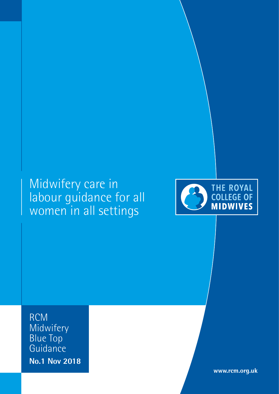# Midwifery care in labour guidance for all women in all settings



RCM Midwifery Blue Top **Guidance No.1 Nov 2018**

**www.rcm.org.uk**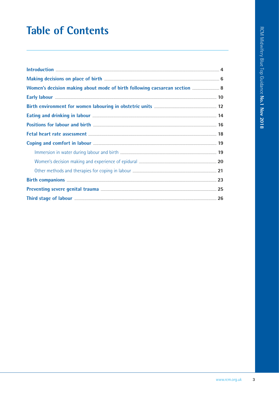# RCM Midwifery Blue Top Guidance No.1 Nov 2018

# **Table of Contents**

| Making decisions on place of birth <b>ELECTER CONSTRUCTER</b> 6                                                                                                                                                                     |  |
|-------------------------------------------------------------------------------------------------------------------------------------------------------------------------------------------------------------------------------------|--|
|                                                                                                                                                                                                                                     |  |
|                                                                                                                                                                                                                                     |  |
|                                                                                                                                                                                                                                     |  |
| Eating and drinking in labour <b>Eating and drinking</b> in labour                                                                                                                                                                  |  |
| Positions for labour and birth <b>Election</b> 26 and 26 and 26 and 26 and 26 and 26 and 26 and 26 and 26 and 26 and 26 and 26 and 26 and 26 and 26 and 26 and 26 and 26 and 26 and 26 and 26 and 26 and 26 and 26 and 26 and 26 an |  |
|                                                                                                                                                                                                                                     |  |
| Coping and comfort in labour <b>Election Comfort in Autority</b> 19                                                                                                                                                                 |  |
|                                                                                                                                                                                                                                     |  |
|                                                                                                                                                                                                                                     |  |
|                                                                                                                                                                                                                                     |  |
| <u>Birth companions</u> 23                                                                                                                                                                                                          |  |
| Preventing severe genital trauma <b>Election Constructs</b> 25                                                                                                                                                                      |  |
| Third stage of labour <u>Electron 26</u>                                                                                                                                                                                            |  |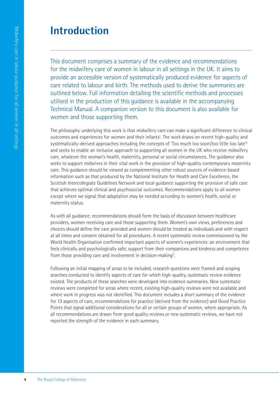# **Introduction**

This document comprises a summary of the evidence and recommendations for the midwifery care of women in labour in all settings in the UK. It aims to provide an accessible version of systematically produced evidence for aspects of care related to labour and birth. The methods used to derive the summaries are outlined below. Full information detailing the scientific methods and processes utilised in the production of this guidance is available in the accompanying Technical Manual. A companion version to this document is also available for women and those supporting them.

The philosophy underlying this work is that midwifery care can make a significant difference to clinical outcomes and experiences for women and their infants<sup>1</sup>. The work draws on recent high-quality and systematically-derived approaches including the concepts of 'Too much too soon/too little too late<sup>'2</sup> and seeks to enable an inclusive approach to supporting all women in the UK who receive midwifery care, whatever the woman's health, maternity, personal or social circumstances. The guidance also seeks to support midwives in their vital work in the provision of high-quality contemporary maternity care. This guidance should be viewed as complementing other robust sources of evidence-based information such as that produced by the National Institute for Health and Care Excellence, the Scottish Intercollegiate Guidelines Network and local guidance supporting the provision of safe care that achieves optimal clinical and psychosocial outcomes. Recommendations apply to all women except where we signal that adaptation may be needed according to women's health, social or maternity status.

As with all guidance, recommendations should form the basis of discussion between healthcare providers, women receiving care and those supporting them. Women's own views, preferences and choices should define the care provided and women should be treated as individuals and with respect at all times and consent obtained for all procedures. A recent systematic review commissioned by the World Health Organisation confirmed important aspects of women's experiences: an environment that feels clinically and psychologically safe; support from their companions and kindness and competence from those providing care and involvement in decision-making<sup>3</sup>. .

Following an initial mapping of areas to be included, research questions were framed and scoping searches conducted to identify aspects of care for which high-quality, systematic review evidence existed. The products of these searches were developed into evidence summaries. New systematic reviews were completed for areas where recent, existing high-quality reviews were not available and where work in progress was not identified. This document includes a short summary of the evidence for 13 aspects of care, recommendations for practice (derived from the evidence) and Good Practice Points that signal additional considerations for all or certain groups of women, where appropriate. As all recommendations are drawn from good quality reviews or new systematic reviews, we have not reported the strength of the evidence in each summary.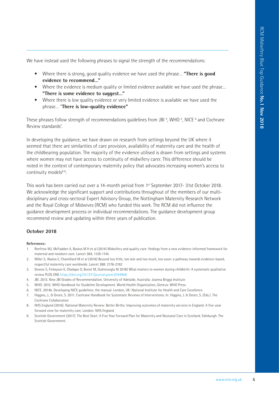We have instead used the following phrases to signal the strength of the recommendations:

- Where there is strong, good quality evidence we have used the phrase… **"There is good evidence to recommend…"**
- Where the evidence is medium quality or limited evidence available we have used the phrase... **"There is some evidence to suggest…"**
- Where there is low quality evidence or very limited evidence is available we have used the phrase… "**There is low-quality evidence"**

These phrases follow strength of recommendations guidelines from JBI  $^4$ , WHO  $^5$ , NICE  $^6$  and Cochrane Review standards7 .

In developing the guidance, we have drawn on research from settings beyond the UK where it seemed that there are similarities of care provision, availability of maternity care and the health of the childbearing population. The majority of the evidence utilised is drawn from settings and systems where women may not have access to continuity of midwifery carer. This difference should be noted in the context of contemporary maternity policy that advocates increasing women's access to continuity models<sup>89</sup>.

This work has been carried out over a 14-month period from 1st September 2017- 31st October 2018. We acknowledge the significant support and contributions throughout of the members of our multidisciplinary and cross-sectoral Expert Advisory Group, the Nottingham Maternity Research Network and the Royal College of Midwives (RCM) who funded this work. The RCM did not influence the guidance development process or individual recommendations. The guidance development group recommend review and updating within three years of publication.

#### **October 2018**

#### **References:**

- 1. Renfrew MJ, McFadden A, Bastos M H et al (2014) Midwifery and quality care: findings from a new evidence-informed framework for maternal and newborn care. Lancet 384, 1129-1145
- 2. Miller S, Abalos E, Chamillard M et al (2016) Beyond too little, too late and too much, too soon: a pathway towards evidence-based, respectful maternity care worldwide. Lancet 388: 2176-2192
- 3. Downe S, Finlayson K, Oladapo O, Bonet M, Gulmezoglu M 2018) What matters to women during childbirth: A systematic qualitative review PLOS ONE https://doi.org/10.1371/journal.pone.0194906
- 4. JBI. 2013. New JBI Grades of Recommendation. University of Adelaide, Australia: Joanna Briggs Institute
- 5. WHO. 2012. WHO Handbook for Guideline Development. World Health Organization, Geneva: WHO Press
- 6. NICE. 2014b. Developing NICE guidelines: the manual. London, UK: National Institute for Health and Care Excellence.
- 7. Higgins, J., & Green, S. 2011. Cochrane Handbook for Systematic Reviews of Interventions. In: Higgins, J. & Green, S. (Eds.). The Cochrane Collaboration
- 8. NHS England (2016). National Maternity Review: Better Births: Improving outcomes of maternity services in England. A five-year forward view for maternity care. London: NHS England
- 9. Scottish Government (2017). The Best Start: A Five Year Forward Plan for Maternity and Neonatal Care in Scotland. Edinburgh. The Scottish Government.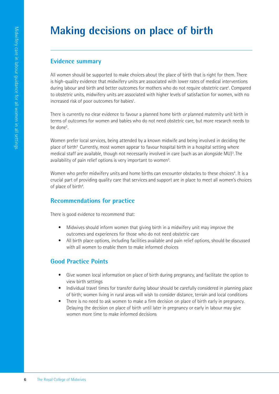# **Making decisions on place of birth**

#### **Evidence summary**

All women should be supported to make choices about the place of birth that is right for them. There is high-quality evidence that midwifery units are associated with lower rates of medical interventions during labour and birth and better outcomes for mothers who do not require obstetric care<sup>1</sup>. Compared to obstetric units, midwifery units are associated with higher levels of satisfaction for women, with no increased risk of poor outcomes for babies<sup>1</sup>. .

There is currently no clear evidence to favour a planned home birth *or* planned maternity unit birth in terms of outcomes for women and babies who do not need obstetric care, but more research needs to be done2 .

Women prefer local services, being attended by a known midwife and being involved in deciding the place of birth<sup>3</sup> Currently, most women appear to favour hospital birth in a hospital setting where . medical staff are available, though not necessarily involved in care (such as an alongside MU)<sup>3</sup>. The availability of pain relief options is very important to women<sup>3</sup>. .

Women who prefer midwifery units and home births can encounter obstacles to these choices<sup>4</sup>. It is a crucial part of providing quality care that services and support are in place to meet all women's choices of place of birth<sup>4</sup>. .

## **Recommendations for practice**

There is good evidence to recommend that:

- Midwives should inform women that giving birth in a midwifery unit may improve the outcomes and experiences for those who do not need obstetric care
- All birth place options, including facilities available and pain relief options, should be discussed with all women to enable them to make informed choices

## **Good Practice Points**

- Give women local information on place of birth during pregnancy, and facilitate the option to view birth settings
- Individual travel times for transfer during labour should be carefully considered in planning place of birth; women living in rural areas will wish to consider distance, terrain and local conditions
- There is no need to ask women to make a firm decision on place of birth early in pregnancy. Delaying the decision on place of birth until later in pregnancy or early in labour may give women more time to make informed decisions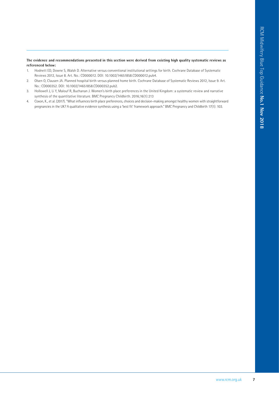- 1. Hodnett ED, Downe S, Walsh D. Alternative versus conventional institutional settings for birth. Cochrane Database of Systematic Reviews 2012, Issue 8. Art. No.: CD000012. DOI: 10.1002/14651858.CD000012.pub4.
- 2. Olsen O, Clausen JA. Planned hospital birth versus planned home birth. Cochrane Database of Systematic Reviews 2012, Issue 9. Art. No.: CD000352. DOI: 10.1002/14651858.CD000352.pub2.
- 3. Hollowell J, Li Y, Malouf R, Buchanan J. Women's birth place preferences in the United Kingdom: a systematic review and narrative synthesis of the quantitative literature. BMC Pregnancy Childbirth. 2016;16(1):213
- 4. Coxon, K., et al. (2017). "What influences birth place preferences, choices and decision-making amongst healthy women with straightforward pregnancies in the UK? A qualitative evidence synthesis using a 'best fit' framework approach." BMC Pregnancy and Childbirth 17(1): 103.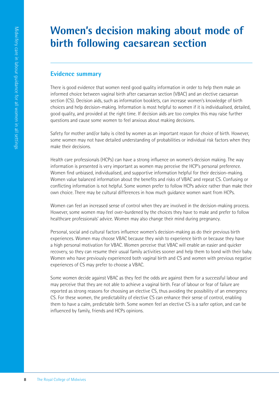# **Women's decision making about mode of birth following caesarean section**

#### **Evidence summary**

There is good evidence that women need good quality information in order to help them make an informed choice between vaginal birth after caesarean section (VBAC) and an elective caesarean section (CS). Decision aids, such as information booklets, can increase women's knowledge of birth choices and help decision-making. Information is most helpful to women if it is individualised, detailed, good quality, and provided at the right time. If decision aids are too complex this may raise further questions and cause some women to feel anxious about making decisions.

Safety for mother and/or baby is cited by women as an important reason for choice of birth. However, some women may not have detailed understanding of probabilities or individual risk factors when they make their decisions.

Health care professionals (HCPs) can have a strong influence on women's decision making. The way information is presented is very important as women may perceive the HCP's personal preference. Women find unbiased, individualised, and supportive information helpful for their decision-making. Women value balanced information about the benefits and risks of VBAC and repeat CS. Confusing or conflicting information is not helpful. Some women prefer to follow HCPs advice rather than make their own choice. There may be cultural differences in how much guidance women want from HCPs.

Women can feel an increased sense of control when they are involved in the decision-making process. However, some women may feel over-burdened by the choices they have to make and prefer to follow healthcare professionals' advice. Women may also change their mind during pregnancy.

Personal, social and cultural factors influence women's decision-making as do their previous birth experiences. Women may choose VBAC because they wish to experience birth or because they have a high personal motivation for VBAC. Women perceive that VBAC will enable an easier and quicker recovery, so they can resume their usual family activities sooner and help them to bond with their baby. Women who have previously experienced both vaginal birth and CS and women with previous negative experiences of CS may prefer to choose a VBAC.

Some women decide against VBAC as they feel the odds are against them for a successful labour and may perceive that they are not able to achieve a vaginal birth. Fear of labour or fear of failure are reported as strong reasons for choosing an elective CS, thus avoiding the possibility of an emergency CS. For these women, the predictability of elective CS can enhance their sense of control, enabling them to have a calm, predictable birth. Some women feel an elective CS is a safer option, and can be influenced by family, friends and HCPs opinions.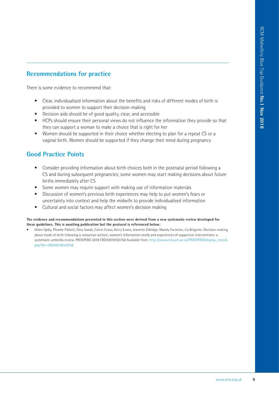## **Recommendations for practice**

There is some evidence to recommend that:

- Clear, individualised information about the benefits and risks of different modes of birth is provided to women to support their decision-making
- Decision aids should be of good quality, clear, and accessible
- HCPs should ensure their personal views do not influence the information they provide so that they can support a woman to make a choice that is right for her
- Women should be supported in their choice whether electing to plan for a repeat CS or a vaginal birth. Women should be supported if they change their mind during pregnancy

#### **Good Practice Points**

- Consider providing information about birth choices both in the postnatal period following a CS and during subsequent pregnancies; some women may start making decisions about future births immediately after CS
- Some women may require support with making use of information materials
- Discussion of women's previous birth experiences may help to put women's fears or uncertainty into context and help the midwife to provide individualised information
- Cultural and social factors may affect women's decision making

#### **The evidence and recommendations presented in this section were derived from a new systematic review developed for these guidelines. This is awaiting publication but the protocol is referenced below:**

• Helen Spiby, Phoebe Pallotti, Gina Sands, Catrin Evans, Kerry Evans, Jeanette Eldridge, Mandy Forrester, Lia Brigante. Decision-making about mode of birth following a caesarean section; women's information needs and experiences of supportive interventions: a systematic umbrella review. PROSPERO 2018 CRD42018103758 Available from: http://www.crd.york.ac.uk/PROSPERO/display\_record. php?ID=CRD42018103758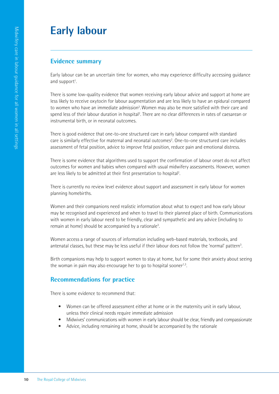# **Early labour**

#### **Evidence summary**

Early labour can be an uncertain time for women, who may experience difficulty accessing guidance and support<sup>1</sup>. .

There is some low-quality evidence that women receiving early labour advice and support at home are less likely to receive oxytocin for labour augmentation and are less likely to have an epidural compared to women who have an immediate admission<sup>2</sup>. Women may also be more satisfied with their care and spend less of their labour duration in hospital<sup>2</sup>. There are no clear differences in rates of caesarean or instrumental birth, or in neonatal outcomes.

There is good evidence that one-to-one structured care in early labour compared with standard care is similarly effective for maternal and neonatal outcomes<sup>2</sup>. One-to-one structured care includes assessment of fetal position, advice to improve fetal position, reduce pain and emotional distress.

There is some evidence that algorithms used to support the confirmation of labour onset do not affect outcomes for women and babies when compared with usual midwifery assessments. However, women are less likely to be admitted at their first presentation to hospital<sup>2</sup>. .

There is currently no review level evidence about support and assessment in early labour for women planning homebirths.

Women and their companions need realistic information about what to expect and how early labour may be recognised and experienced and when to travel to their planned place of birth. Communications with women in early labour need to be friendly, clear and sympathetic and any advice (including to remain at home) should be accompanied by a rationale<sup>3</sup>.

Women access a range of sources of information including web-based materials, textbooks, and antenatal classes, but these may be less useful if their labour does not follow the 'normal' pattern<sup>3</sup>.

Birth companions may help to support women to stay at home, but for some their anxiety about seeing the woman in pain may also encourage her to go to hospital sooner<sup>1,3</sup>.

#### **Recommendations for practice**

There is some evidence to recommend that:

- Women can be offered assessment either at home or in the maternity unit in early labour, unless their clinical needs require immediate admission
- Midwives' communications with women in early labour should be clear, friendly and compassionate
- Advice, including remaining at home, should be accompanied by the rationale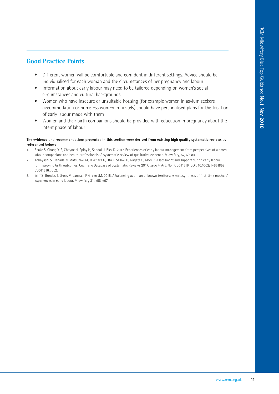#### **Good Practice Points**

- Different women will be comfortable and confident in different settings. Advice should be individualised for each woman and the circumstances of her pregnancy and labour
- Information about early labour may need to be tailored depending on women's social circumstances and cultural backgrounds
- Women who have insecure or unsuitable housing (for example women in asylum seekers' accommodation or homeless women in hostels) should have personalised plans for the location of early labour made with them
- Women and their birth companions should be provided with education in pregnancy about the latent phase of labour

- 1. Beake S, Chang Y-S, Cheyne H, Spiby H, Sandall J, Bick D. 2017. Experiences of early labour management from perspectives of women, labour companions and health professionals: A systematic review of qualitative evidence. Midwifery, 57, 69-84.
- 2. Kobayashi S, Hanada N, Matsuzaki M, Takehara K, Ota E, Sasaki H, Nagata C, Mori R. Assessment and support during early labour for improving birth outcomes. Cochrane Database of Systematic Reviews 2017, Issue 4. Art. No.: CD011516. DOI: 10.1002/14651858. CD011516.pub2.
- 3. Eri T S; Bondas T, Gross M, Janssen P, Green JM. 2015. A balancing act in an unknown territory: A metasynthesis of first-time mothers' experiences in early labour. Midwifery 31: e58-e67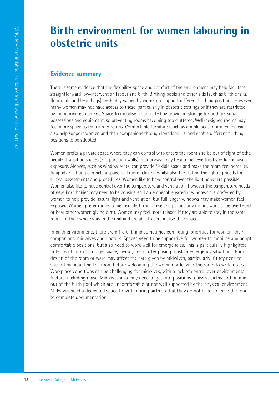# **Birth environment for women labouring in obstetric units**

#### **Evidence summary**

There is some evidence that the flexibility, space and comfort of the environment may help facilitate straightforward low-intervention labour and birth. Birthing pools and other aids (such as birth chairs, floor mats and bean bags) are highly valued by women to support different birthing positions. However, many women may not have access to these, particularly in obstetric settings or if they are restricted by monitoring equipment. Space to mobilise is supported by providing storage for both personal possessions and equipment, so preventing rooms becoming too cluttered. Well-designed rooms may feel more spacious than larger rooms. Comfortable furniture (such as double beds or armchairs) can also help support women and their companions through long labours, and enable different birthing positions to be adopted.

Women prefer a private space where they can control who enters the room and be out of sight of other people. Transition spaces (e.g. partition walls) in doorways may help to achieve this by reducing visual exposure. Alcoves, such as window seats, can provide flexible space and make the room feel homelier. Adaptable lighting can help a space feel more relaxing whilst also facilitating the lighting needs for clinical assessments and procedures. Women like to have control over the lighting where possible. Women also like to have control over the temperature and ventilation, however the temperature needs of new-born babies may need to be considered. Large openable exterior windows are preferred by women to help provide natural light and ventilation, but full length windows may make women feel exposed. Women prefer rooms to be insulated from noise and particularly do not want to be overheard or hear other women giving birth. Women may feel more relaxed if they are able to stay in the same room for their whole stay in the unit and are able to personalise their space.

In birth environments there are different, and sometimes conflicting, priorities for women, their companions, midwives and doctors. Spaces need to be supportive for women to mobilise and adopt comfortable positions, but also need to work well for emergencies. This is particularly highlighted in terms of lack of storage, space, layout, and clutter posing a risk in emergency situations. Poor design of the room or ward may affect the care given by midwives, particularly if they need to spend time adapting the room before welcoming the woman or leaving the room to write notes. Workplace conditions can be challenging for midwives, with a lack of control over environmental factors, including noise. Midwives also may need to get into positions to assist births both in and out of the birth pool which are uncomfortable or not well supported by the physical environment. Midwives need a dedicated space to write during birth so that they do not need to leave the room to complete documentation.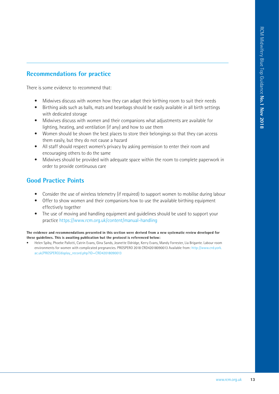## **Recommendations for practice**

There is some evidence to recommend that:

- Midwives discuss with women how they can adapt their birthing room to suit their needs
- Birthing aids such as balls, mats and beanbags should be easily available in all birth settings with dedicated storage
- Midwives discuss with women and their companions what adjustments are available for lighting, heating, and ventilation (if any) and how to use them
- Women should be shown the best places to store their belongings so that they can access them easily, but they do not cause a hazard
- All staff should respect women's privacy by asking permission to enter their room and encouraging others to do the same
- Midwives should be provided with adequate space within the room to complete paperwork in order to provide continuous care

#### **Good Practice Points**

- Consider the use of wireless telemetry (if required) to support women to mobilise during labour
- Offer to show women and their companions how to use the available birthing equipment effectively together
- The use of moving and handling equipment and quidelines should be used to support your practice https://www.rcm.org.uk/content/manual-handling

**The evidence and recommendations presented in this section were derived from a new systematic review developed for these guidelines. This is awaiting publication but the protocol is referenced below:** 

• Helen Spiby, Phoebe Pallotti, Catrin Evans, Gina Sands, Jeanette Eldridge, Kerry Evans, Mandy Forrester, Lia Brigante. Labour room environments for women with complicated pregnancies. PROSPERO 2018 CRD42018090013 Available from: http://www.crd.york. ac.uk/PROSPERO/display\_record.php?ID=CRD42018090013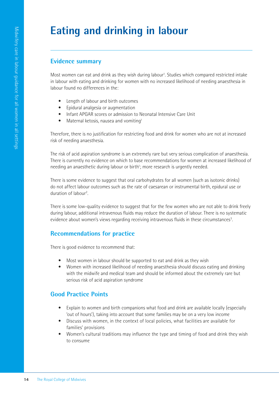#### **Evidence summary**

Most women can eat and drink as they wish during labour<sup>1</sup>. Studies which compared restricted intake in labour with eating and drinking for women with no increased likelihood of needing anaesthesia in labour found no differences in the:

- Length of labour and birth outcomes
- Epidural analgesia or augmentation
- Infant APGAR scores or admission to Neonatal Intensive Care Unit
- Maternal ketosis, nausea and vomiting<sup>1</sup>

Therefore, there is no justification for restricting food and drink for women who are not at increased risk of needing anaesthesia.

The risk of acid aspiration syndrome is an extremely rare but very serious complication of anaesthesia. There is currently no evidence on which to base recommendations for women at increased likelihood of needing an anaesthetic during labour or birth<sup>1</sup>; more research is urgently needed.

There is some evidence to suggest that oral carbohydrates for all women (such as isotonic drinks) do not affect labour outcomes such as the rate of caesarean or instrumental birth, epidural use or duration of labour<sup>2</sup>. .

There is some low-quality evidence to suggest that for the few women who are not able to drink freely during labour, additional intravenous fluids may reduce the duration of labour. There is no systematic evidence about women's views regarding receiving intravenous fluids in these circumstances<sup>3</sup>. .

## **Recommendations for practice**

There is good evidence to recommend that:

- Most women in labour should be supported to eat and drink as they wish
- Women with increased likelihood of needing anaesthesia should discuss eating and drinking with the midwife and medical team and should be informed about the extremely rare but serious risk of acid aspiration syndrome

## **Good Practice Points**

- Explain to women and birth companions what food and drink are available locally (especially 'out of hours'), taking into account that some families may be on a very low income
- Discuss with women, in the context of local policies, what facilities are available for families' provisions
- Women's cultural traditions may influence the type and timing of food and drink they wish to consume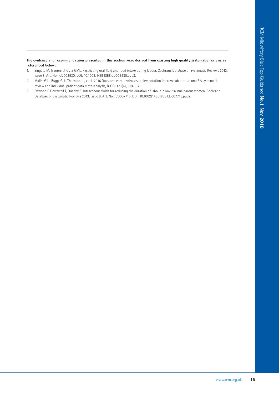- 1. Singata M, Tranmer J, Gyte GML. Restricting oral fluid and food intake during labour. Cochrane Database of Systematic Reviews 2013, Issue 8. Art. No.: CD003930. DOI: 10.1002/14651858.CD003930.pub3.
- 2. Malin, G.L., Bugg, G.J., Thornton, J., et al. 2016.Does oral carbohydrate supplementation improve labour outcome? A systematic review and individual patient data meta-analysis, BJOG, 123(4), 510-517.
- 3. Dawood F, Dowswell T, Quenby S. Intravenous fluids for reducing the duration of labour in low risk nulliparous women. Cochrane Database of Systematic Reviews 2013, Issue 6. Art. No.: CD007715. DOI: 10.1002/14651858.CD007715.pub2.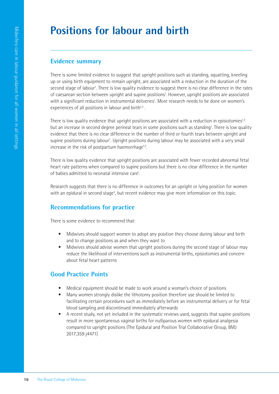# **Positions for labour and birth**

#### **Evidence summary**

There is some limited evidence to suggest that upright positions such as standing, squatting, kneeling up or using birth equipment to remain upright, are associated with a reduction in the duration of the second stage of labour<sup>1</sup>. There is low quality evidence to suggest there is no clear difference in the rates of caesarean section between upright and supine positions<sup>1</sup>. However, upright positions are associated with a significant reduction in instrumental deliveries<sup>1</sup>. More research needs to be done on women's experiences of all positions in labour and birth<sup>1,2</sup>.

There is low quality evidence that upright positions are associated with a reduction in episiotomies<sup>1,2</sup> but an increase in second degree perineal tears in some positions such as standing<sup>1</sup>. There is low quality evidence that there is no clear difference in the number of third or fourth tears between upright and supine positions during labour<sup>1</sup>. Upright positions during labour may be associated with a very small increase in the risk of postpartum haemorrhage<sup> $1,2$ </sup>.

There is low quality evidence that upright positions are associated with fewer recorded abnormal fetal heart rate patterns when compared to supine positions but there is no clear difference in the number of babies admitted to neonatal intensive care<sup>1</sup>. .

Research suggests that there is no difference in outcomes for an upright or lying position for women with an epidural in second stage<sup>3</sup>, but recent evidence may give more information on this topic.

## **Recommendations for practice**

There is some evidence to recommend that:

- Midwives should support women to adopt any position they choose during labour and birth and to change positions as and when they want to
- Midwives should advise women that upright positions during the second stage of labour may reduce the likelihood of interventions such as instrumental births, episiotomies and concern about fetal heart patterns

## **Good Practice Points**

- Medical equipment should be made to work around a woman's choice of positions
- Many women strongly dislike the lithotomy position therefore use should be limited to facilitating certain procedures such as immediately before an instrumental delivery or for fetal blood sampling and discontinued immediately afterwards
- A recent study, not yet included in the systematic reviews used, suggests that supine positions result in more spontaneous vaginal births for nulliparous women with epidural analgesia compared to upright positions (The Epidural and Position Trial Collaborative Group*,* BMJ 2017;359:j4471)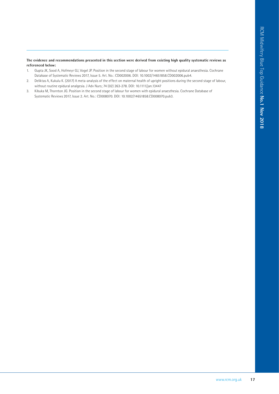- 1. Gupta JK, Sood A, Hofmeyr GJ, Vogel JP. Position in the second stage of labour for women without epidural anaesthesia. Cochrane Database of Systematic Reviews 2017, Issue 5. Art. No.: CD002006. DOI: 10.1002/14651858.CD002006.pub4.
- 2. Deliktas A, Kukulu K. (2017) A meta-analysis of the effect on maternal health of upright positions during the second stage of labour, without routine epidural analgesia. J Adv Nurs; 74 (02) 263-278. DOI: 10.1111/jan.13447
- 3. Kibuka M, Thornton JG. Position in the second stage of labour for women with epidural anaesthesia. Cochrane Database of Systematic Reviews 2017, Issue 2. Art. No.: CD008070. DOI: 10.1002/14651858.CD008070.pub3.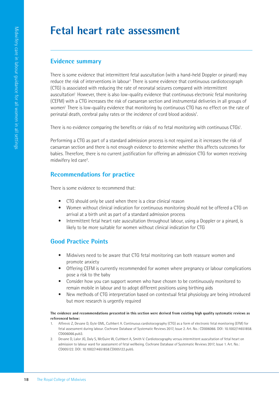# **Fetal heart rate assessment**

#### **Evidence summary**

There is some evidence that intermittent fetal auscultation (with a hand-held Doppler or pinard) may reduce the risk of interventions in labour<sup>1</sup> There is some evidence that continuous cardiotocograph . (CTG) is associated with reducing the rate of neonatal seizures compared with intermittent auscultation<sup>1</sup> However, there is also low-quality evidence that continuous electronic fetal monitoring . (CEFM) with a CTG increases the risk of caesarean section and instrumental deliveries in all groups of women<sup>1</sup> There is low-quality evidence that monitoring by continuous CTG has no effect on the rate of . perinatal death, cerebral palsy rates or the incidence of cord blood acidosis<sup>1</sup>. .

There is no evidence comparing the benefits or risks of no fetal monitoring with continuous CTGs<sup>1</sup>.

Performing a CTG as part of a standard admission process is not required as it increases the risk of caesarean section and there is not enough evidence to determine whether this affects outcomes for babies. Therefore, there is no current justification for offering an admission CTG for women receiving midwifery led care<sup>2</sup>. .

#### **Recommendations for practice**

There is some evidence to recommend that:

- CTG should only be used when there is a clear clinical reason
- Women without clinical indication for continuous monitoring should not be offered a CTG on arrival at a birth unit as part of a standard admission process
- Intermittent fetal heart rate auscultation throughout labour, using a Doppler or a pinard, is likely to be more suitable for women without clinical indication for CTG

## **Good Practice Points**

- Midwives need to be aware that CTG fetal monitoring can both reassure women and promote anxiety
- Offering CEFM is currently recommended for women where pregnancy or labour complications pose a risk to the baby
- Consider how you can support women who have chosen to be continuously monitored to remain mobile in labour and to adopt different positions using birthing aids
- New methods of CTG interpretation based on contextual fetal physiology are being introduced but more research is urgently required

- 1. Alfirevic Z, Devane D, Gyte GML, Cuthbert A. Continuous cardiotocography (CTG) as a form of electronic fetal monitoring (EFM) for fetal assessment during labour. Cochrane Database of Systematic Reviews 2017, Issue 2. Art. No.: CD006066. DOI: 10.1002/14651858. CD006066.pub3.
- 2. Devane D, Lalor JG, Daly S, McGuire W, Cuthbert A, Smith V. Cardiotocography versus intermittent auscultation of fetal heart on admission to labour ward for assessment of fetal wellbeing. Cochrane Database of Systematic Reviews 2017, Issue 1. Art. No.: CD005122. DOI: 10.1002/14651858.CD005122.pub5.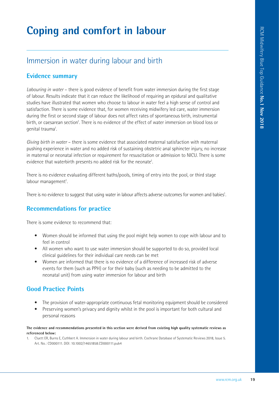# **Coping and comfort in labour**

## Immersion in water during labour and birth

#### **Evidence summary**

*Labouring in water* – there is good evidence of benefit from water immersion during the first stage of labour. Results indicate that it can reduce the likelihood of requiring an epidural and qualitative studies have illustrated that women who choose to labour in water feel a high sense of control and satisfaction. There is some evidence that, for women receiving midwifery led care, water immersion during the first or second stage of labour does not affect rates of spontaneous birth, instrumental birth, or caesarean section<sup>1</sup>. There is no evidence of the effect of water immersion on blood loss or genital trauma<sup>1</sup>. .

*Giving birth in water* – there is some evidence that associated maternal satisfaction with maternal pushing experience in water and no added risk of sustaining obstetric anal sphincter injury, no increase in maternal or neonatal infection or requirement for resuscitation or admission to NICU. There is some evidence that waterbirth presents no added risk for the neonate<sup>1</sup>. .

There is no evidence evaluating different baths/pools, timing of entry into the pool, or third stage labour management<sup>1</sup>. .

There is no evidence to suggest that using water in labour affects adverse outcomes for women and babies<sup>1</sup>. .

## **Recommendations for practice**

There is some evidence to recommend that:

- Women should be informed that using the pool might help women to cope with labour and to feel in control
- All women who want to use water immersion should be supported to do so, provided local clinical guidelines for their individual care needs can be met
- Women are informed that there is no evidence of a difference of increased risk of adverse events for them (such as PPH) or for their baby (such as needing to be admitted to the neonatal unit) from using water immersion for labour and birth

#### **Good Practice Points**

- The provision of water-appropriate continuous fetal monitoring equipment should be considered
- Preserving women's privacy and dignity whilst in the pool is important for both cultural and personal reasons

**The evidence and recommendations presented in this section were derived from existing high quality systematic reviews as referenced below:** 

1. Cluett ER, Burns E, Cuthbert A. Immersion in water during labour and birth. Cochrane Database of Systematic Reviews 2018, Issue 5. Art. No.: CD000111. DOI: 10.1002/14651858.CD000111.pub4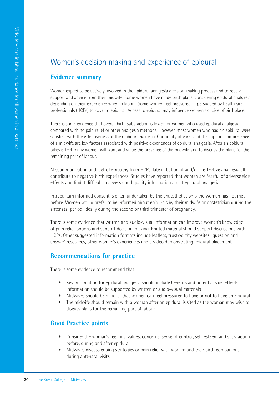## Women's decision making and experience of epidural

#### **Evidence summary**

Women expect to be actively involved in the epidural analgesia decision-making process and to receive support and advice from their midwife. Some women have made birth plans, considering epidural analgesia depending on their experience when in labour. Some women feel pressured or persuaded by healthcare professionals (HCPs) to have an epidural. Access to epidural may influence women's choice of birthplace.

There is some evidence that overall birth satisfaction is lower for women who used epidural analgesia compared with no pain relief or other analgesia methods. However, most women who had an epidural were satisfied with the effectiveness of their labour analgesia. Continuity of carer and the support and presence of a midwife are key factors associated with positive experiences of epidural analgesia. After an epidural takes effect many women will want and value the presence of the midwife and to discuss the plans for the remaining part of labour.

Miscommunication and lack of empathy from HCPs, late initiation of and/or ineffective analgesia all contribute to negative birth experiences. Studies have reported that women are fearful of adverse side effects and find it difficult to access good quality information about epidural analgesia.

Intrapartum informed consent is often undertaken by the anaesthetist who the woman has not met before. Women would prefer to be informed about epidurals by their midwife or obstetrician during the antenatal period, ideally during the second or third trimester of pregnancy.

There is some evidence that written and audio-visual information can improve women's knowledge of pain relief options and support decision-making. Printed material should support discussions with HCPs. Other suggested information formats include leaflets, trustworthy websites, 'question and answer' resources, other women's experiences and a video demonstrating epidural placement.

#### **Recommendations for practice**

There is some evidence to recommend that:

- Key information for epidural analgesia should include benefits and potential side-effects. Information should be supported by written or audio-visual materials
- Midwives should be mindful that women can feel pressured to have or not to have an epidural
- The midwife should remain with a woman after an epidural is sited as the woman may wish to discuss plans for the remaining part of labour

#### **Good Practice points**

- Consider the woman's feelings, values, concerns, sense of control, self-esteem and satisfaction before, during and after epidural
- Midwives discuss coping strategies or pain relief with women and their birth companions during antenatal visits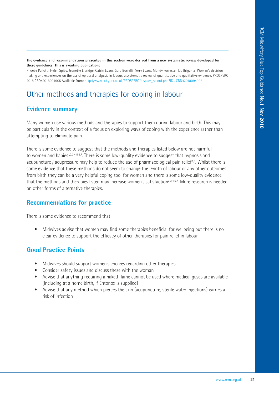**The evidence and recommendations presented in this section were derived from a new systematic review developed for these guidelines. This is awaiting publication:**

Phoebe Pallotti, Helen Spiby, Jeanette Eldridge, Catrin Evans, Sara Borrelli, Kerry Evans, Mandy Forrester, Lia Brigante. Women's decision making and experiences on the use of epidural analgesia in labour: a systematic review of quantitative and qualitative evidence. PROSPERO 2018 CRD42018094905 Available from: http://www.crd.york.ac.uk/PROSPERO/display\_record.php?ID=CRD42018094905

## Other methods and therapies for coping in labour

#### **Evidence summary**

Many women use various methods and therapies to support them during labour and birth. This may be particularly in the context of a focus on exploring ways of coping with the experience rather than attempting to eliminate pain.

There is some evidence to suggest that the methods and therapies listed below are not harmful to women and babies<sup>1,2,3,4,5,6,7</sup>. There is some low-quality evidence to suggest that hypnosis and acupuncture / acupressure may help to reduce the use of pharmacological pain relief<sup>2,6</sup>. Whilst there is some evidence that these methods do not seem to change the length of labour or any other outcomes from birth they can be a very helpful coping tool for women and there is some low-quality evidence that the methods and therapies listed may increase women's satisfaction<sup>2,3,4,6,7</sup>. More research is needed on other forms of alternative therapies.

#### **Recommendations for practice**

There is some evidence to recommend that:

• Midwives advise that women may find some therapies beneficial for wellbeing but there is no clear evidence to support the efficacy of other therapies for pain relief in labour

#### **Good Practice Points**

- Midwives should support women's choices regarding other therapies
- Consider safety issues and discuss these with the woman
- Advise that anything requiring a naked flame cannot be used where medical gases are available (including at a home birth, if Entonox is supplied)
- Advise that any method which pierces the skin (acupuncture, sterile water injections) carries a risk of infection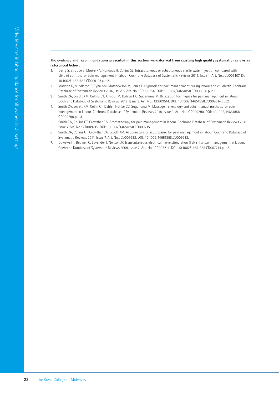- 1. Derry S, Straube S, Moore RA, Hancock H, Collins SL. Intracutaneous or subcutaneous sterile water injection compared with blinded controls for pain management in labour. Cochrane Database of Systematic Reviews 2012, Issue 1. Art. No.: CD009107. DOI: 10.1002/14651858.CD009107.pub2.
- 2. Madden K, Middleton P, Cyna AM, Matthewson M, Jones L. Hypnosis for pain management during labour and childbirth. Cochrane Database of Systematic Reviews 2016, Issue 5. Art. No.: CD009356. DOI: 10.1002/14651858.CD009356.pub3.
- 3. Smith CA, Levett KM, Collins CT, Armour M, Dahlen HG, Suganuma M. Relaxation techniques for pain management in labour. Cochrane Database of Systematic Reviews 2018, Issue 3. Art. No.: CD009514. DOI: 10.1002/14651858.CD009514.pub2.
- 4. Smith CA, Levett KM, Collin CT, Dahlen HG, Ee CC, Suganuma M. Massage, reflexology and other manual methods for pain management in labour. Cochrane Database of Systematic Reviews 2018, Issue 3. Art. No.: CD009290. DOI: 10.1002/14651858. CD009290.pub3.
- 5. Smith CA, Collins CT, Crowther CA. Aromatherapy for pain management in labour. Cochrane Database of Systematic Reviews 2011, Issue 7. Art. No.: CD009215. DOI: 10.1002/14651858.CD009215.
- 6. Smith CA, Collins CT, Crowther CA, Levett KM. Acupuncture or acupressure for pain management in labour. Cochrane Database of Systematic Reviews 2011, Issue 7. Art. No.: CD009232. DOI: 10.1002/14651858.CD009232.
- 7. Dowswell T, Bedwell C, Lavender T, Neilson JP. Transcutaneous electrical nerve stimulation (TENS) for pain management in labour. Cochrane Database of Systematic Reviews 2009, Issue 2. Art. No.: CD007214. DOI: 10.1002/14651858.CD007214.pub2.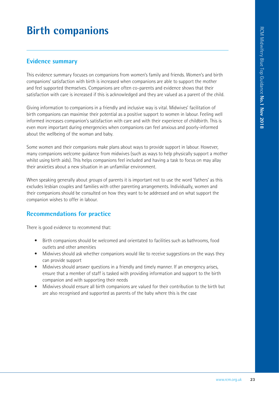# **Birth companions**

#### **Evidence summary**

This evidence summary focuses on companions from women's family and friends. Women's and birth companions' satisfaction with birth is increased when companions are able to support the mother and feel supported themselves. Companions are often co-parents and evidence shows that their satisfaction with care is increased if this is acknowledged and they are valued as a parent of the child.

Giving information to companions in a friendly and inclusive way is vital. Midwives' facilitation of birth companions can maximise their potential as a positive support to women in labour. Feeling well informed increases companion's satisfaction with care and with their experience of childbirth. This is even more important during emergencies when companions can feel anxious and poorly-informed about the wellbeing of the woman and baby.

Some women and their companions make plans about ways to provide support in labour. However, many companions welcome guidance from midwives (such as ways to help physically support a mother whilst using birth aids). This helps companions feel included and having a task to focus on may allay their anxieties about a new situation in an unfamiliar environment.

When speaking generally about *groups* of parents it is important not to use the word 'fathers' as this excludes lesbian couples and families with other parenting arrangements. Individually, women and their companions should be consulted on how they want to be addressed and on what support the companion wishes to offer in labour.

#### **Recommendations for practice**

There is good evidence to recommend that:

- Birth companions should be welcomed and orientated to facilities such as bathrooms, food outlets and other amenities
- Midwives should ask whether companions would like to receive suggestions on the ways they can provide support
- Midwives should answer questions in a friendly and timely manner. If an emergency arises, ensure that a member of staff is tasked with providing information and support to the birth companion and with supporting their needs
- Midwives should ensure all birth companions are valued for their contribution to the birth but are also recognised and supported as parents of the baby where this is the case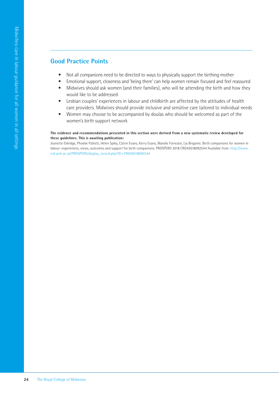## **Good Practice Points**

- Not all companions need to be directed to ways to physically support the birthing mother
- Emotional support, closeness and 'being there' can help women remain focused and feel reassured
- Midwives should ask women (and their families), who will be attending the birth and how they would like to be addressed
- Lesbian couples' experiences in labour and childbirth are affected by the attitudes of health care providers. Midwives should provide inclusive and sensitive care tailored to individual needs
- Women may choose to be accompanied by doulas who should be welcomed as part of the women's birth support network

#### **The evidence and recommendations presented in this section were derived from a new systematic review developed for these guidelines. This is awaiting publication:**

Jeanette Eldridge, Phoebe Pallotti, Helen Spiby, Catrin Evans, Kerry Evans, Mandie Forrester, Lia Brigante. Birth companions for women in labour: experiences, views, outcomes and support for birth companions. PROSPERO 2018 CRD42018092544 Available from: http://www. crd.york.ac.uk/PROSPERO/display\_record.php?ID=CRD42018092544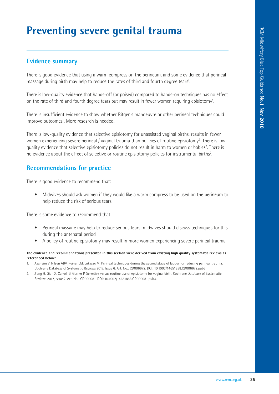# **Preventing severe genital trauma**

#### **Evidence summary**

There is good evidence that using a warm compress on the perineum, and some evidence that perineal massage during birth may help to reduce the rates of third and fourth degree tears<sup>1</sup>. .

There is low-quality evidence that hands-off (or poised) compared to hands-on techniques has no effect on the rate of third and fourth degree tears but may result in fewer women requiring episiotomy<sup>1</sup>.

There is insufficient evidence to show whether Ritgen's manoeuvre or other perineal techniques could improve outcomes<sup>1</sup>. More research is needed.

There is low-quality evidence that selective episiotomy for unassisted vaginal births, results in fewer women experiencing severe perineal / vaginal trauma than policies of routine episiotomy<sup>2</sup>. There is lowquality evidence that selective episiotomy policies do not result in harm to women or babies<sup>2</sup>. There is no evidence about the effect of selective or routine episiotomy policies for instrumental births2 .

#### **Recommendations for practice**

There is good evidence to recommend that:

• Midwives should ask women if they would like a warm compress to be used on the perineum to help reduce the risk of serious tears

There is some evidence to recommend that:

- Perineal massage may help to reduce serious tears; midwives should discuss techniques for this during the antenatal period
- A policy of routine episiotomy may result in more women experiencing severe perineal trauma

- 1. Aasheim V, Nilsen ABV, Reinar LM, Lukasse M. Perineal techniques during the second stage of labour for reducing perineal trauma. Cochrane Database of Systematic Reviews 2017, Issue 6. Art. No.: CD006672. DOI: 10.1002/14651858.CD006672.pub3
- 2. Jiang H, Qian X, Carroli G, Garner P. Selective versus routine use of episiotomy for vaginal birth. Cochrane Database of Systematic Reviews 2017, Issue 2. Art. No.: CD000081. DOI: 10.1002/14651858.CD000081.pub3.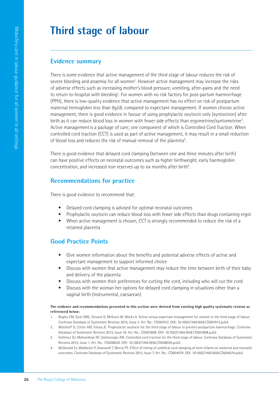# **Third stage of labour**

#### **Evidence summary**

There is some evidence that active management of the third stage of labour reduces the risk of severe bleeding and anaemia for all women<sup>1</sup>. However active management may increase the risks of adverse effects such as increasing mother's blood pressure, vomiting, after-pains and the need to return to hospital with bleeding<sup>1</sup>. For women with no risk factors for post-partum haemorrhage (PPH), there is low-quality evidence that active management has no effect on risk of postpartum maternal hemoglobin less than 9g/dL compared to expectant management. If women choose active management, there is good evidence in favour of using prophylactic oxytocin only (syntocinon) after birth as it can reduce blood loss in women with fewer side effects than ergometrine/syntometrine<sup>2</sup>. . Active managementis a package of care; one component of which is Controlled Cord Traction. When controlled cord traction (CCT) is used as part of active management, it may result in a small reduction of blood loss and reduces the risk of manual removal of the placenta<sup>3</sup>. .

There is good evidence that delayed cord clamping (between one and three minutes after birth) can have positive effects on neonatal outcomes such as higher birthweight, early haemoglobin concentration, and increased iron reserves up to six months after birth<sup>4</sup>. .

#### **Recommendations for practice**

There is good evidence to recommend that:

- Delayed cord clamping is advised for optimal neonatal outcomes
- Prophylactic oxytocin can reduce blood loss with fewer side effects than drugs containing ergot
- When active management is chosen, CCT is strongly recommended to reduce the risk of a retained placenta

## **Good Practice Points**

- Give women information about the benefits and potential adverse effects of active and expectant management to support informed choice
- Discuss with women that active management may reduce the time between birth of their baby and delivery of the placenta
- Discuss with women their preferences for cutting the cord, including who will cut the cord
- Discuss with the woman her options for delayed cord clamping in situations other than a vaginal birth (instrumental, caesarean)

- 1. Begley CM, Gyte GML, Devane D, McGuire W, Weeks A. Active versus expectant management for women in the third stage of labour. Cochrane Database of Systematic Reviews 2015, Issue 3. Art. No.: CD007412. DOI: 10.1002/14651858.CD007412.pub4.
- 2. Westhoff G, Cotter AM, Tolosa JE. Prophylactic oxytocin for the third stage of labour to prevent postpartum haemorrhage. Cochrane Database of Systematic Reviews 2013, Issue 10. Art. No.: CD001808. DOI: 10.1002/14651858.CD001808.pub2.
- 3. Hofmeyr GJ, Mshweshwe NT, Gülmezoglu AM. Controlled cord traction for the third stage of labour. Cochrane Database of Systematic Reviews 2015, Issue 1. Art. No.: CD008020. DOI: 10.1002/14651858.CD008020.pub2.
- 4. McDonald SJ, Middleton P, Dowswell T, Morris PS. Effect of timing of umbilical cord clamping of term infants on maternal and neonatal outcomes. Cochrane Database of Systematic Reviews 2013, Issue 7. Art. No.: CD004074. DOI: 10.1002/14651858.CD004074.pub3.